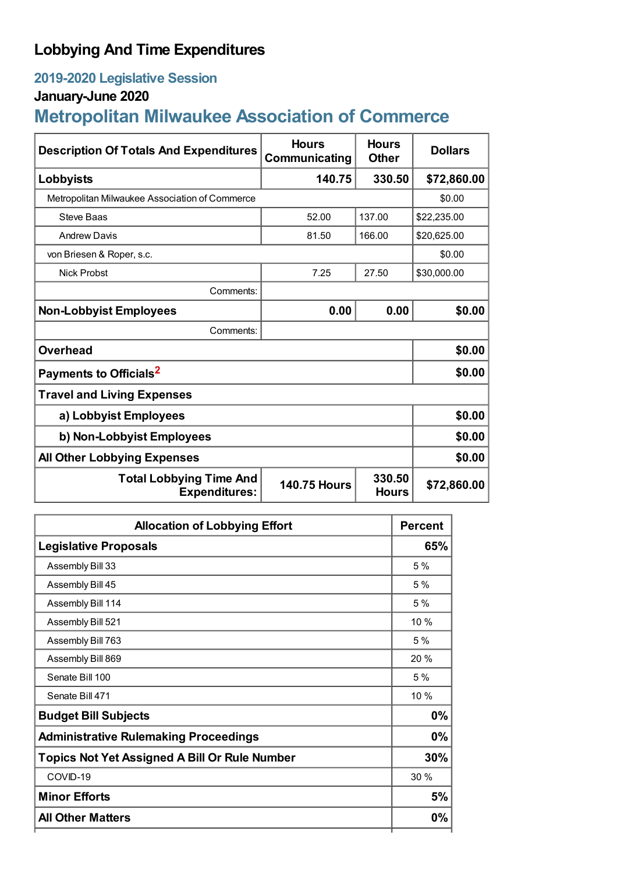## **Lobbying And Time Expenditures**

## **2019-2020 Legislative Session**

## **January-June 2020**

# **Metropolitan Milwaukee Association of Commerce**

| <b>Description Of Totals And Expenditures</b>          | <b>Hours</b><br>Communicating | <b>Hours</b><br><b>Other</b> | <b>Dollars</b> |  |
|--------------------------------------------------------|-------------------------------|------------------------------|----------------|--|
| Lobbyists                                              | 140.75                        | 330.50                       | \$72,860.00    |  |
| Metropolitan Milwaukee Association of Commerce         |                               |                              | \$0.00         |  |
| Steve Baas                                             | 52.00                         | 137.00                       | \$22,235.00    |  |
| <b>Andrew Davis</b>                                    | 81.50                         | 166.00                       | \$20,625.00    |  |
| von Briesen & Roper, s.c.                              |                               |                              | \$0.00         |  |
| <b>Nick Probst</b>                                     | 7.25                          | 27.50                        | \$30,000.00    |  |
| Comments:                                              |                               |                              |                |  |
| <b>Non-Lobbyist Employees</b>                          | 0.00                          | 0.00                         | \$0.00         |  |
| Comments:                                              |                               |                              |                |  |
| <b>Overhead</b>                                        |                               |                              | \$0.00         |  |
| Payments to Officials <sup>2</sup>                     |                               |                              | \$0.00         |  |
| <b>Travel and Living Expenses</b>                      |                               |                              |                |  |
| a) Lobbyist Employees                                  |                               |                              | \$0.00         |  |
| b) Non-Lobbyist Employees                              |                               |                              | \$0.00         |  |
| <b>All Other Lobbying Expenses</b>                     |                               |                              | \$0.00         |  |
| <b>Total Lobbying Time And</b><br><b>Expenditures:</b> | <b>140.75 Hours</b>           | 330.50<br><b>Hours</b>       | \$72,860.00    |  |

| <b>Allocation of Lobbying Effort</b>                 |      |
|------------------------------------------------------|------|
| <b>Legislative Proposals</b>                         | 65%  |
| Assembly Bill 33                                     | 5%   |
| Assembly Bill 45                                     | 5 %  |
| Assembly Bill 114                                    | 5%   |
| Assembly Bill 521                                    | 10 % |
| Assembly Bill 763                                    | 5%   |
| Assembly Bill 869                                    | 20%  |
| Senate Bill 100                                      | 5 %  |
| Senate Bill 471                                      | 10 % |
| <b>Budget Bill Subjects</b>                          | 0%   |
| <b>Administrative Rulemaking Proceedings</b>         | 0%   |
| <b>Topics Not Yet Assigned A Bill Or Rule Number</b> | 30%  |
| COVID-19                                             | 30 % |
| <b>Minor Efforts</b>                                 | 5%   |
| <b>All Other Matters</b>                             | 0%   |
|                                                      |      |